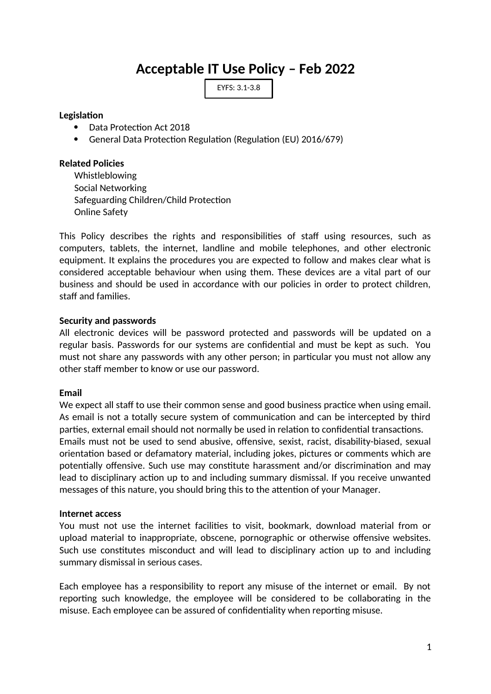# **Acceptable IT Use Policy – Feb 2022**

EYFS: 3.1-3.8

# **Legislation**

- Data Protection Act 2018
- General Data Protection Regulation (Regulation (EU) 2016/679)

# **Related Policies**

Whistleblowing Social Networking Safeguarding Children/Child Protection Online Safety

This Policy describes the rights and responsibilities of staff using resources, such as computers, tablets, the internet, landline and mobile telephones, and other electronic equipment. It explains the procedures you are expected to follow and makes clear what is considered acceptable behaviour when using them. These devices are a vital part of our business and should be used in accordance with our policies in order to protect children, staff and families.

#### **Security and passwords**

All electronic devices will be password protected and passwords will be updated on a regular basis. Passwords for our systems are confidential and must be kept as such. You must not share any passwords with any other person; in particular you must not allow any other staff member to know or use our password.

# **Email**

We expect all staff to use their common sense and good business practice when using email. As email is not a totally secure system of communication and can be intercepted by third parties, external email should not normally be used in relation to confidential transactions. Emails must not be used to send abusive, offensive, sexist, racist, disability-biased, sexual orientation based or defamatory material, including jokes, pictures or comments which are potentially offensive. Such use may constitute harassment and/or discrimination and may lead to disciplinary action up to and including summary dismissal. If you receive unwanted messages of this nature, you should bring this to the attention of your Manager.

#### **Internet access**

You must not use the internet facilities to visit, bookmark, download material from or upload material to inappropriate, obscene, pornographic or otherwise offensive websites. Such use constitutes misconduct and will lead to disciplinary action up to and including summary dismissal in serious cases.

Each employee has a responsibility to report any misuse of the internet or email. By not reporting such knowledge, the employee will be considered to be collaborating in the misuse. Each employee can be assured of confidentiality when reporting misuse.